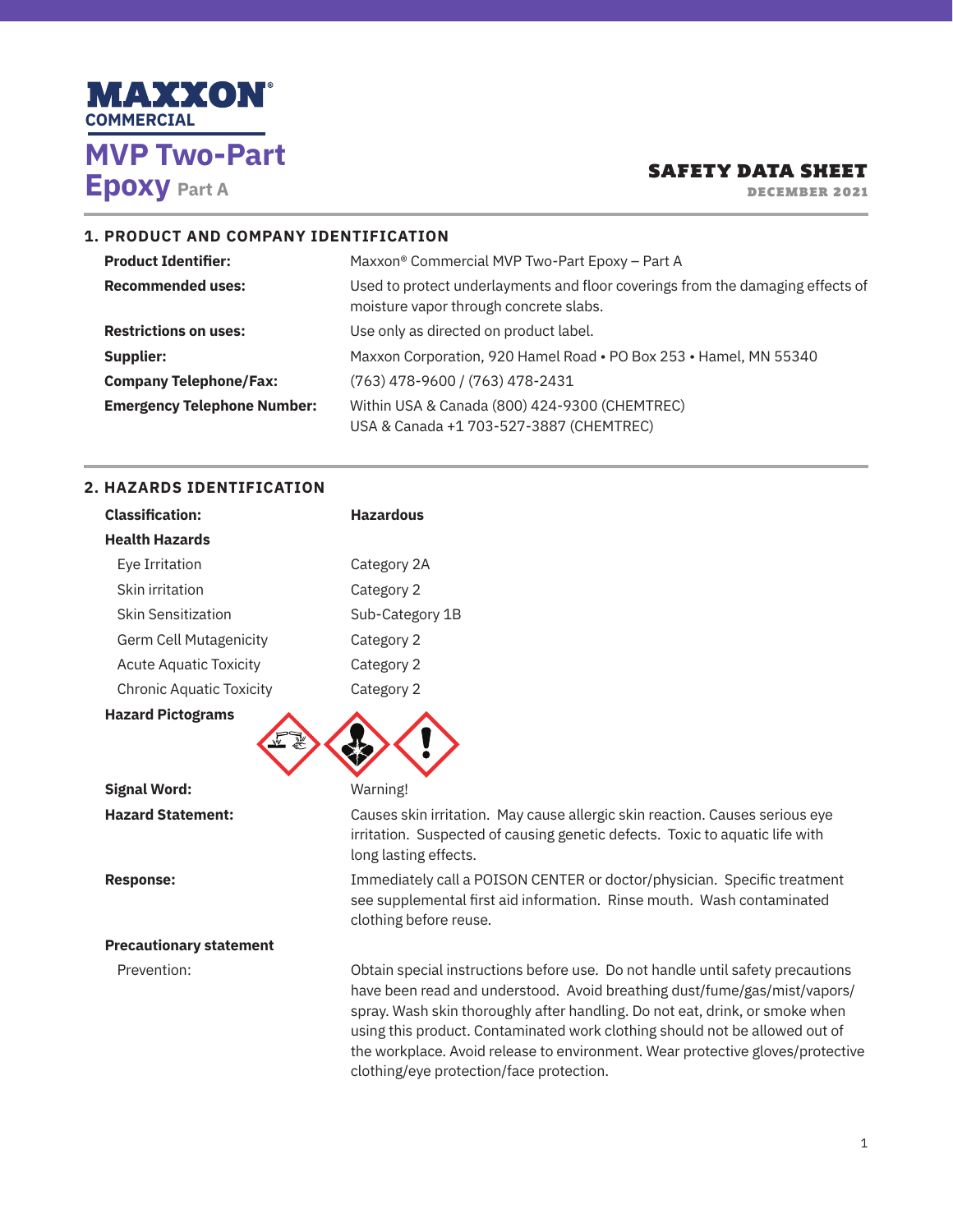

DECEMBER 2021

#### **1. PRODUCT AND COMPANY IDENTIFICATION**

| <b>Product Identifier:</b>         | Maxxon <sup>®</sup> Commercial MVP Two-Part Epoxy - Part A                                                               |
|------------------------------------|--------------------------------------------------------------------------------------------------------------------------|
| <b>Recommended uses:</b>           | Used to protect underlayments and floor coverings from the damaging effects of<br>moisture vapor through concrete slabs. |
| <b>Restrictions on uses:</b>       | Use only as directed on product label.                                                                                   |
| Supplier:                          | Maxxon Corporation, 920 Hamel Road . PO Box 253 . Hamel, MN 55340                                                        |
| <b>Company Telephone/Fax:</b>      | (763) 478-9600 / (763) 478-2431                                                                                          |
| <b>Emergency Telephone Number:</b> | Within USA & Canada (800) 424-9300 (CHEMTREC)<br>USA & Canada +1 703-527-3887 (CHEMTREC)                                 |

# **2. HAZARDS IDENTIFICATION**

| <b>Classification:</b>          | <b>Hazardous</b>                                                                                                                                                                                                                                                                                                                                                                                                                                         |
|---------------------------------|----------------------------------------------------------------------------------------------------------------------------------------------------------------------------------------------------------------------------------------------------------------------------------------------------------------------------------------------------------------------------------------------------------------------------------------------------------|
| <b>Health Hazards</b>           |                                                                                                                                                                                                                                                                                                                                                                                                                                                          |
| Eye Irritation                  | Category 2A                                                                                                                                                                                                                                                                                                                                                                                                                                              |
| Skin irritation                 | Category 2                                                                                                                                                                                                                                                                                                                                                                                                                                               |
| <b>Skin Sensitization</b>       | Sub-Category 1B                                                                                                                                                                                                                                                                                                                                                                                                                                          |
| Germ Cell Mutagenicity          | Category 2                                                                                                                                                                                                                                                                                                                                                                                                                                               |
| <b>Acute Aquatic Toxicity</b>   | Category 2                                                                                                                                                                                                                                                                                                                                                                                                                                               |
| <b>Chronic Aquatic Toxicity</b> | Category 2                                                                                                                                                                                                                                                                                                                                                                                                                                               |
| <b>Hazard Pictograms</b>        |                                                                                                                                                                                                                                                                                                                                                                                                                                                          |
| <b>Signal Word:</b>             | Warning!                                                                                                                                                                                                                                                                                                                                                                                                                                                 |
| <b>Hazard Statement:</b>        | Causes skin irritation. May cause allergic skin reaction. Causes serious eye<br>irritation. Suspected of causing genetic defects. Toxic to aquatic life with<br>long lasting effects.                                                                                                                                                                                                                                                                    |
| <b>Response:</b>                | Immediately call a POISON CENTER or doctor/physician. Specific treatment<br>see supplemental first aid information. Rinse mouth. Wash contaminated<br>clothing before reuse.                                                                                                                                                                                                                                                                             |
| <b>Precautionary statement</b>  |                                                                                                                                                                                                                                                                                                                                                                                                                                                          |
| Prevention:                     | Obtain special instructions before use. Do not handle until safety precautions<br>have been read and understood. Avoid breathing dust/fume/gas/mist/vapors/<br>spray. Wash skin thoroughly after handling. Do not eat, drink, or smoke when<br>using this product. Contaminated work clothing should not be allowed out of<br>the workplace. Avoid release to environment. Wear protective gloves/protective<br>clothing/eye protection/face protection. |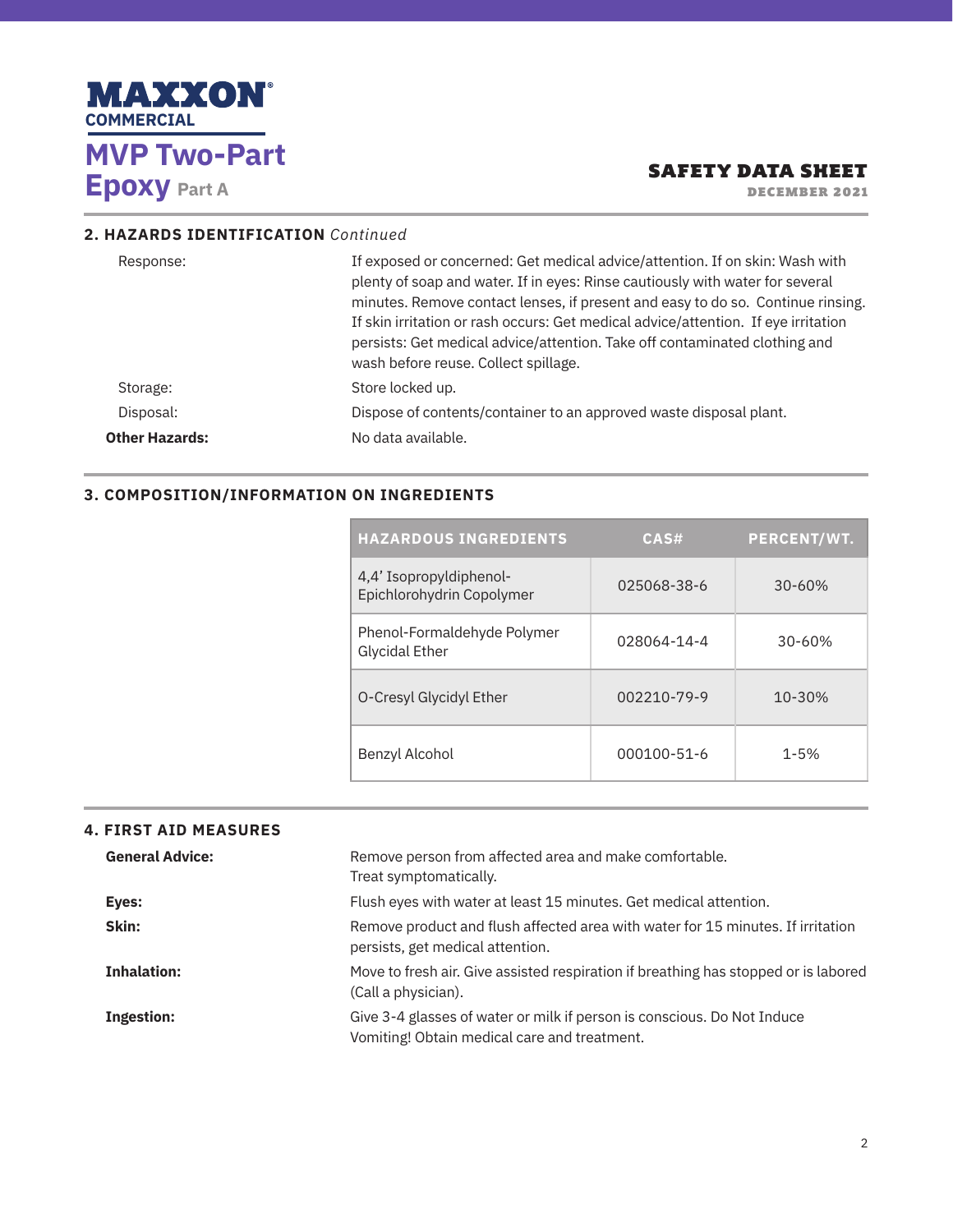

DECEMBER 2021

## **2. HAZARDS IDENTIFICATION** *Continued*

| If exposed or concerned: Get medical advice/attention. If on skin: Wash with<br>Response:<br>plenty of soap and water. If in eyes: Rinse cautiously with water for several<br>minutes. Remove contact lenses, if present and easy to do so. Continue rinsing.<br>If skin irritation or rash occurs: Get medical advice/attention. If eye irritation<br>persists: Get medical advice/attention. Take off contaminated clothing and<br>wash before reuse. Collect spillage. |  |
|---------------------------------------------------------------------------------------------------------------------------------------------------------------------------------------------------------------------------------------------------------------------------------------------------------------------------------------------------------------------------------------------------------------------------------------------------------------------------|--|
| Store locked up.<br>Storage:                                                                                                                                                                                                                                                                                                                                                                                                                                              |  |
| Dispose of contents/container to an approved waste disposal plant.<br>Disposal:                                                                                                                                                                                                                                                                                                                                                                                           |  |
| <b>Other Hazards:</b><br>No data available.                                                                                                                                                                                                                                                                                                                                                                                                                               |  |

#### **3. COMPOSITION/INFORMATION ON INGREDIENTS**

| <b>HAZARDOUS INGREDIENTS</b>                         | CAS#        | <b>PERCENT/WT.</b> |
|------------------------------------------------------|-------------|--------------------|
| 4.4' Isopropyldiphenol-<br>Epichlorohydrin Copolymer | 025068-38-6 | $30 - 60%$         |
| Phenol-Formaldehyde Polymer<br><b>Glycidal Ether</b> | 028064-14-4 | $30 - 60%$         |
| O-Cresyl Glycidyl Ether                              | 002210-79-9 | $10 - 30%$         |
| Benzyl Alcohol                                       | 000100-51-6 | $1 - 5%$           |

### **4. FIRST AID MEASURES**

| <b>General Advice:</b> | Remove person from affected area and make comfortable.<br>Treat symptomatically.                                        |
|------------------------|-------------------------------------------------------------------------------------------------------------------------|
| Eyes:                  | Flush eyes with water at least 15 minutes. Get medical attention.                                                       |
| Skin:                  | Remove product and flush affected area with water for 15 minutes. If irritation<br>persists, get medical attention.     |
| <b>Inhalation:</b>     | Move to fresh air. Give assisted respiration if breathing has stopped or is labored<br>(Call a physician).              |
| <b>Ingestion:</b>      | Give 3-4 glasses of water or milk if person is conscious. Do Not Induce<br>Vomiting! Obtain medical care and treatment. |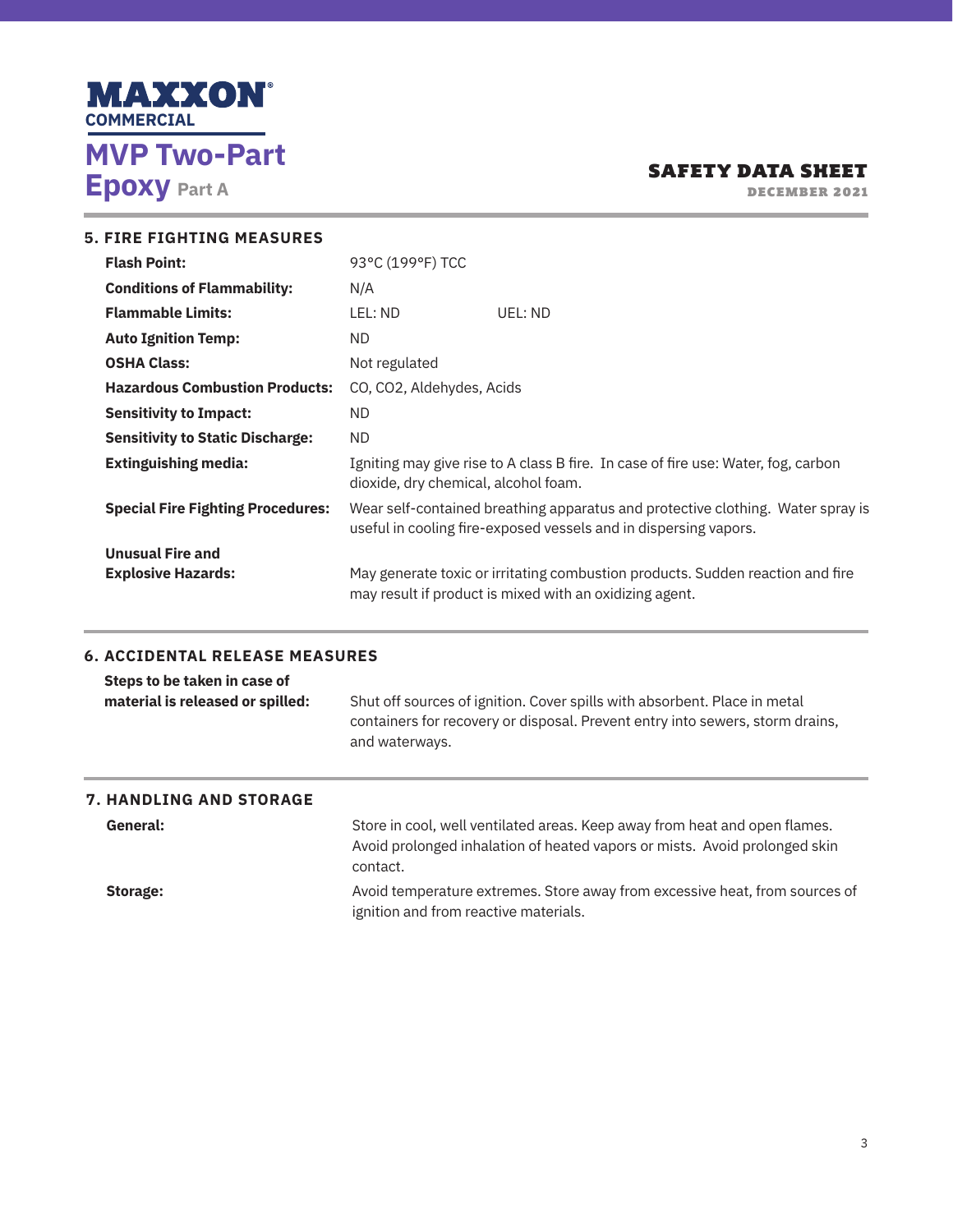

DECEMBER 2021

| <b>5. FIRE FIGHTING MEASURES</b>                     |                                                                                                                                                     |                                                                                                                                           |
|------------------------------------------------------|-----------------------------------------------------------------------------------------------------------------------------------------------------|-------------------------------------------------------------------------------------------------------------------------------------------|
| <b>Flash Point:</b>                                  | 93°C (199°F) TCC                                                                                                                                    |                                                                                                                                           |
| <b>Conditions of Flammability:</b>                   | N/A                                                                                                                                                 |                                                                                                                                           |
| <b>Flammable Limits:</b>                             | LEL: ND                                                                                                                                             | UEL: ND                                                                                                                                   |
| <b>Auto Ignition Temp:</b>                           | ND.                                                                                                                                                 |                                                                                                                                           |
| <b>OSHA Class:</b>                                   | Not regulated                                                                                                                                       |                                                                                                                                           |
| <b>Hazardous Combustion Products:</b>                | CO, CO2, Aldehydes, Acids                                                                                                                           |                                                                                                                                           |
| <b>Sensitivity to Impact:</b>                        | ND.                                                                                                                                                 |                                                                                                                                           |
| <b>Sensitivity to Static Discharge:</b>              | ND.                                                                                                                                                 |                                                                                                                                           |
| <b>Extinguishing media:</b>                          | Igniting may give rise to A class B fire. In case of fire use: Water, fog, carbon<br>dioxide, dry chemical, alcohol foam.                           |                                                                                                                                           |
| <b>Special Fire Fighting Procedures:</b>             | Wear self-contained breathing apparatus and protective clothing. Water spray is<br>useful in cooling fire-exposed vessels and in dispersing vapors. |                                                                                                                                           |
| <b>Unusual Fire and</b><br><b>Explosive Hazards:</b> |                                                                                                                                                     | May generate toxic or irritating combustion products. Sudden reaction and fire<br>may result if product is mixed with an oxidizing agent. |

### **6. ACCIDENTAL RELEASE MEASURES**

| Steps to be taken in case of<br>material is released or spilled: | Shut off sources of ignition. Cover spills with absorbent. Place in metal<br>containers for recovery or disposal. Prevent entry into sewers, storm drains,<br>and waterways. |
|------------------------------------------------------------------|------------------------------------------------------------------------------------------------------------------------------------------------------------------------------|
|                                                                  |                                                                                                                                                                              |

# **7. HANDLING AND STORAGE**

General: Store in cool, well ventilated areas. Keep away from heat and open flames. Avoid prolonged inhalation of heated vapors or mists. Avoid prolonged skin contact.

**Storage: Avoid temperature extremes. Store away from excessive heat, from sources of** ignition and from reactive materials.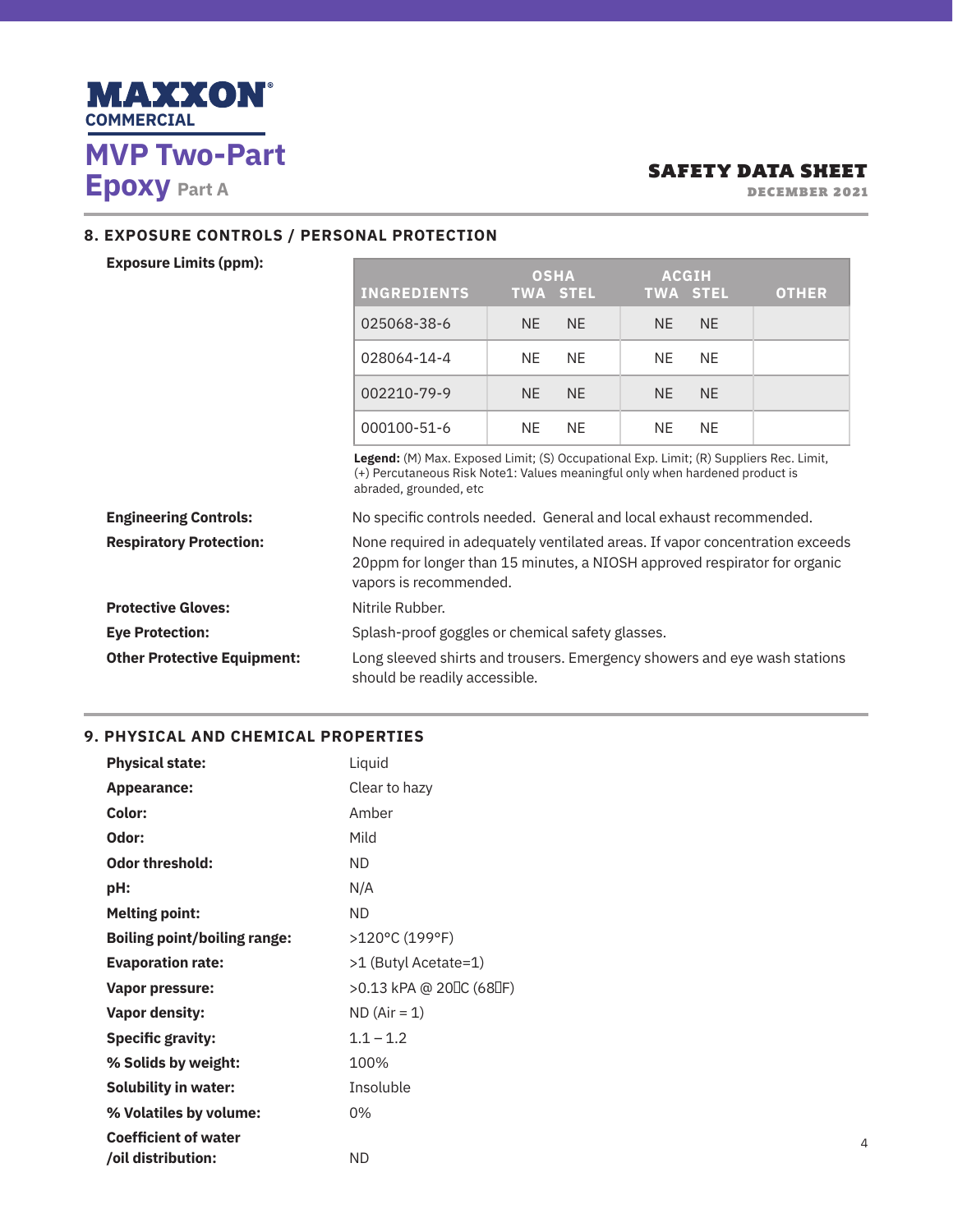

DECEMBER 2021

┓

## **8. EXPOSURE CONTROLS / PERSONAL PROTECTION**

#### **Exposure Limits (ppm):**

|                                    | <b>INGREDIENTS</b>                                                                                                                                                                  | <b>OSHA</b><br><b>TWA STEL</b>                                                                                                                                         | <b>ACGIH</b><br><b>TWA STEL</b> | <b>OTHER</b> |
|------------------------------------|-------------------------------------------------------------------------------------------------------------------------------------------------------------------------------------|------------------------------------------------------------------------------------------------------------------------------------------------------------------------|---------------------------------|--------------|
|                                    | 025068-38-6                                                                                                                                                                         | <b>NE</b><br>NE.                                                                                                                                                       | <b>NE</b><br><b>NE</b>          |              |
|                                    | 028064-14-4                                                                                                                                                                         | <b>NE</b><br><b>NE</b>                                                                                                                                                 | <b>NE</b><br><b>NE</b>          |              |
|                                    | 002210-79-9                                                                                                                                                                         | <b>NE</b><br>NE.                                                                                                                                                       | <b>NE</b><br><b>NE</b>          |              |
|                                    | 000100-51-6                                                                                                                                                                         | <b>NE</b><br>NE.                                                                                                                                                       | <b>NE</b><br><b>NE</b>          |              |
|                                    | abraded, grounded, etc                                                                                                                                                              | Legend: (M) Max. Exposed Limit; (S) Occupational Exp. Limit; (R) Suppliers Rec. Limit,<br>(+) Percutaneous Risk Note1: Values meaningful only when hardened product is |                                 |              |
| <b>Engineering Controls:</b>       | No specific controls needed. General and local exhaust recommended.                                                                                                                 |                                                                                                                                                                        |                                 |              |
| <b>Respiratory Protection:</b>     | None required in adequately ventilated areas. If vapor concentration exceeds<br>20ppm for longer than 15 minutes, a NIOSH approved respirator for organic<br>vapors is recommended. |                                                                                                                                                                        |                                 |              |
| <b>Protective Gloves:</b>          | Nitrile Rubber.                                                                                                                                                                     |                                                                                                                                                                        |                                 |              |
| <b>Eye Protection:</b>             |                                                                                                                                                                                     | Splash-proof goggles or chemical safety glasses.                                                                                                                       |                                 |              |
| <b>Other Protective Equipment:</b> | Long sleeved shirts and trousers. Emergency showers and eye wash stations<br>should be readily accessible.                                                                          |                                                                                                                                                                        |                                 |              |

**Contract Contract Contract** 

### **9. PHYSICAL AND CHEMICAL PROPERTIES**

| <b>Physical state:</b>              | Liquid                  |
|-------------------------------------|-------------------------|
| <b>Appearance:</b>                  | Clear to hazy           |
| Color:                              | Amber                   |
| Odor:                               | Mild                    |
| <b>Odor threshold:</b>              | ND.                     |
| pH:                                 | N/A                     |
| <b>Melting point:</b>               | <b>ND</b>               |
| <b>Boiling point/boiling range:</b> | >120°C (199°F)          |
| <b>Evaporation rate:</b>            | >1 (Butyl Acetate=1)    |
| <b>Vapor pressure:</b>              | >0.13 kPA @ 20 C (68 F) |
| <b>Vapor density:</b>               | $ND (Air = 1)$          |
| <b>Specific gravity:</b>            | $1.1 - 1.2$             |
| % Solids by weight:                 | 100%                    |
| <b>Solubility in water:</b>         | Insoluble               |
| % Volatiles by volume:              | 0%                      |
| <b>Coefficient of water</b>         |                         |
| /oil distribution:                  | ND.                     |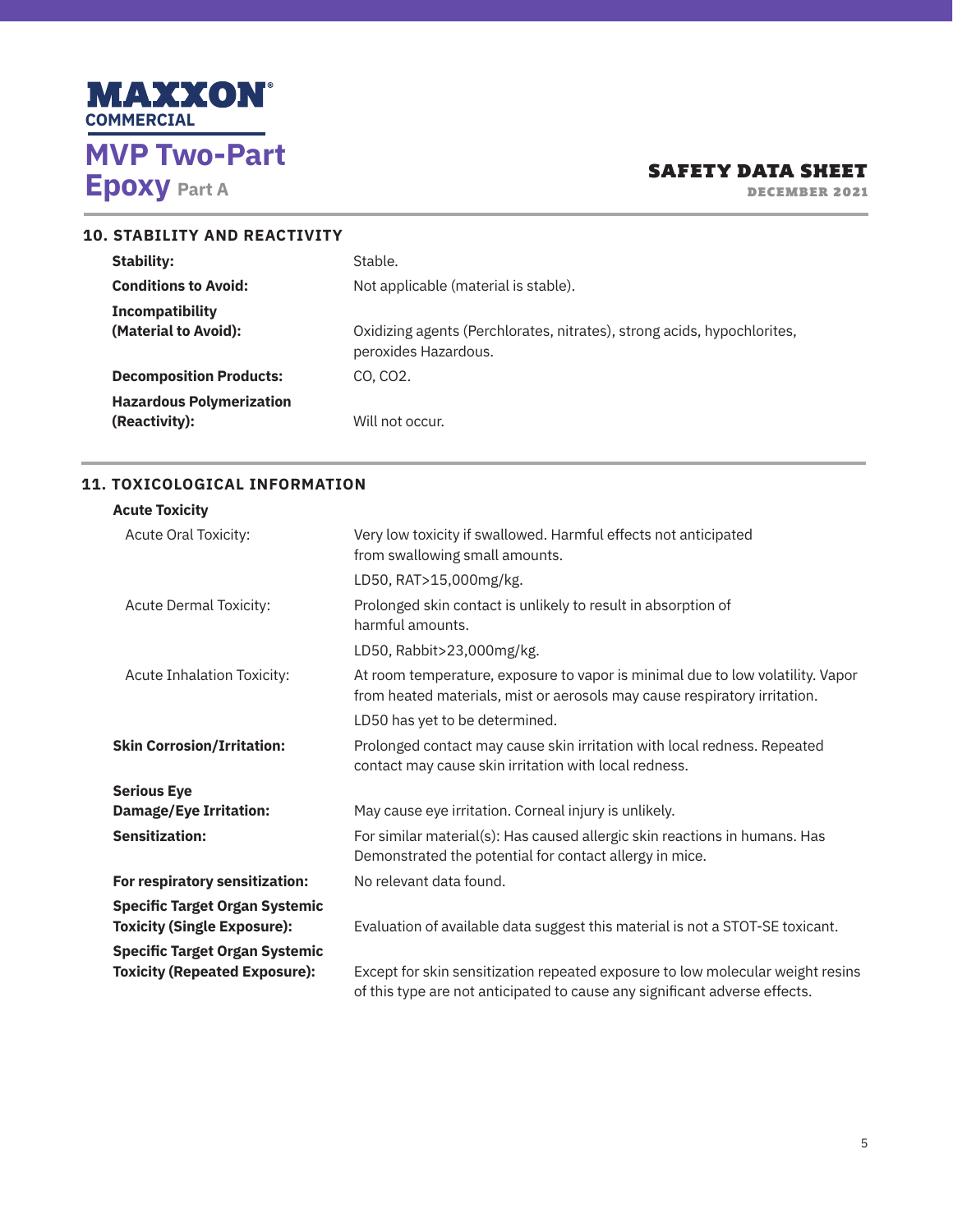

DECEMBER 2021

| <b>10. STABILITY AND REACTIVITY</b>                               |                                                                                                 |
|-------------------------------------------------------------------|-------------------------------------------------------------------------------------------------|
| Stability:                                                        | Stable.                                                                                         |
| <b>Conditions to Avoid:</b>                                       | Not applicable (material is stable).                                                            |
| Incompatibility<br>(Material to Avoid):                           | Oxidizing agents (Perchlorates, nitrates), strong acids, hypochlorites,<br>peroxides Hazardous. |
| <b>Decomposition Products:</b><br><b>Hazardous Polymerization</b> | CO. CO <sub>2</sub> .                                                                           |
| (Reactivity):                                                     | Will not occur.                                                                                 |

## **11. TOXICOLOGICAL INFORMATION**

| <b>Acute Toxicity</b>                                                         |                                                                                                                                                              |
|-------------------------------------------------------------------------------|--------------------------------------------------------------------------------------------------------------------------------------------------------------|
| <b>Acute Oral Toxicity:</b>                                                   | Very low toxicity if swallowed. Harmful effects not anticipated<br>from swallowing small amounts.                                                            |
|                                                                               | LD50, RAT>15,000mg/kg.                                                                                                                                       |
| <b>Acute Dermal Toxicity:</b>                                                 | Prolonged skin contact is unlikely to result in absorption of<br>harmful amounts.                                                                            |
|                                                                               | LD50, Rabbit>23,000mg/kg.                                                                                                                                    |
| Acute Inhalation Toxicity:                                                    | At room temperature, exposure to vapor is minimal due to low volatility. Vapor<br>from heated materials, mist or aerosols may cause respiratory irritation.  |
|                                                                               | LD50 has yet to be determined.                                                                                                                               |
| <b>Skin Corrosion/Irritation:</b>                                             | Prolonged contact may cause skin irritation with local redness. Repeated<br>contact may cause skin irritation with local redness.                            |
| <b>Serious Eye</b>                                                            |                                                                                                                                                              |
| <b>Damage/Eye Irritation:</b>                                                 | May cause eye irritation. Corneal injury is unlikely.                                                                                                        |
| <b>Sensitization:</b>                                                         | For similar material(s): Has caused allergic skin reactions in humans. Has<br>Demonstrated the potential for contact allergy in mice.                        |
| For respiratory sensitization:                                                | No relevant data found.                                                                                                                                      |
| <b>Specific Target Organ Systemic</b><br><b>Toxicity (Single Exposure):</b>   | Evaluation of available data suggest this material is not a STOT-SE toxicant.                                                                                |
| <b>Specific Target Organ Systemic</b><br><b>Toxicity (Repeated Exposure):</b> | Except for skin sensitization repeated exposure to low molecular weight resins<br>of this type are not anticipated to cause any significant adverse effects. |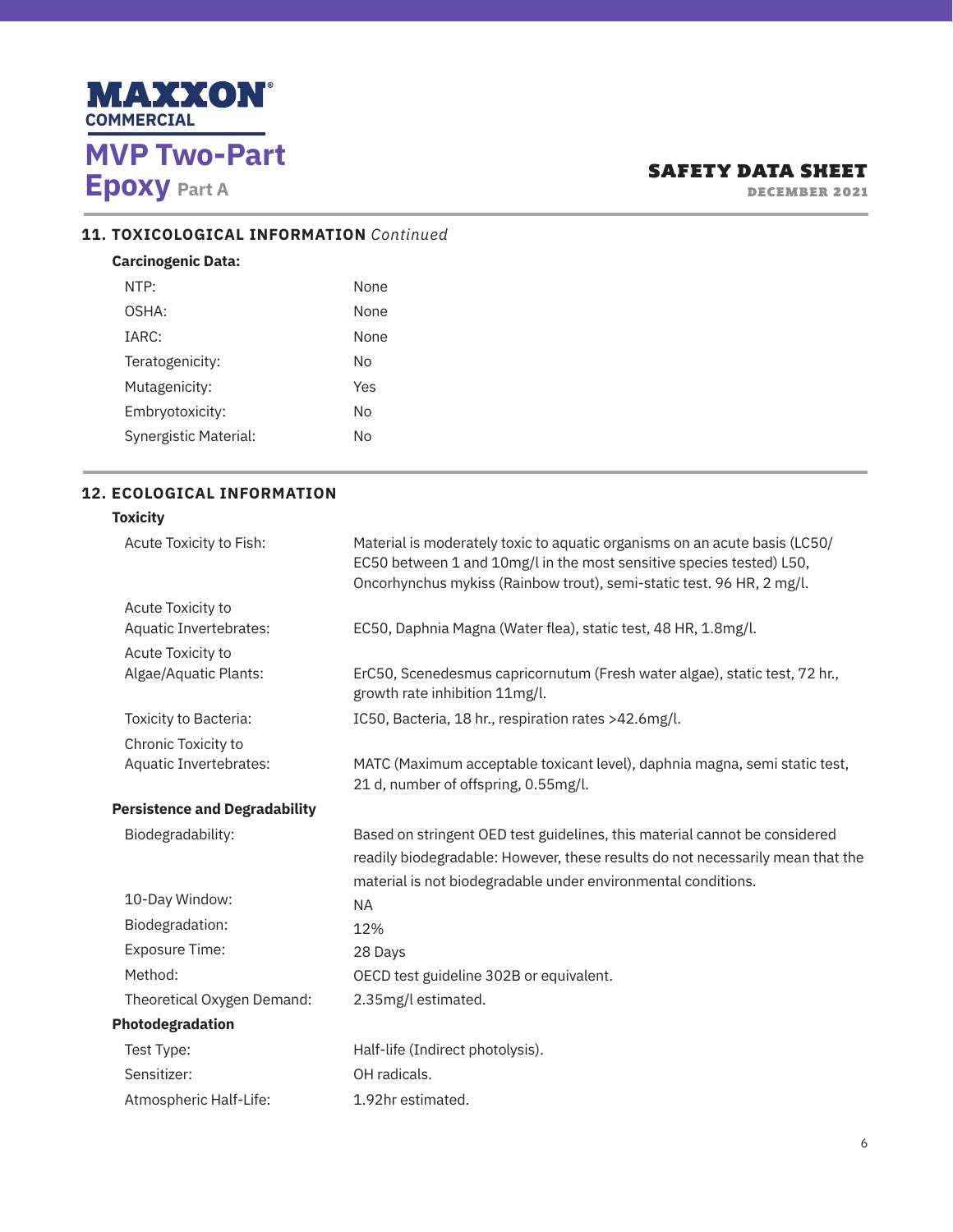

DECEMBER 2021

# **11. TOXICOLOGICAL INFORMATION** *Continued*

### **Carcinogenic Data:**

| NTP:                         | <b>None</b> |
|------------------------------|-------------|
| OSHA:                        | <b>None</b> |
| IARC:                        | None        |
| Teratogenicity:              | N٥          |
| Mutagenicity:                | Yes         |
| Embryotoxicity:              | Nο          |
| <b>Synergistic Material:</b> | No          |
|                              |             |

## **12. ECOLOGICAL INFORMATION**

## **Toxicity**

| Acute Toxicity to Fish:              | Material is moderately toxic to aquatic organisms on an acute basis (LC50/<br>EC50 between 1 and 10mg/l in the most sensitive species tested) L50,<br>Oncorhynchus mykiss (Rainbow trout), semi-static test. 96 HR, 2 mg/l. |
|--------------------------------------|-----------------------------------------------------------------------------------------------------------------------------------------------------------------------------------------------------------------------------|
| Acute Toxicity to                    |                                                                                                                                                                                                                             |
| Aquatic Invertebrates:               | EC50, Daphnia Magna (Water flea), static test, 48 HR, 1.8mg/l.                                                                                                                                                              |
| Acute Toxicity to                    |                                                                                                                                                                                                                             |
| Algae/Aquatic Plants:                | ErC50, Scenedesmus capricornutum (Fresh water algae), static test, 72 hr.,<br>growth rate inhibition 11mg/l.                                                                                                                |
| Toxicity to Bacteria:                | IC50, Bacteria, 18 hr., respiration rates >42.6mg/l.                                                                                                                                                                        |
| Chronic Toxicity to                  |                                                                                                                                                                                                                             |
| Aquatic Invertebrates:               | MATC (Maximum acceptable toxicant level), daphnia magna, semi static test,<br>21 d, number of offspring, 0.55mg/l.                                                                                                          |
| <b>Persistence and Degradability</b> |                                                                                                                                                                                                                             |
| Biodegradability:                    | Based on stringent OED test guidelines, this material cannot be considered                                                                                                                                                  |
|                                      | readily biodegradable: However, these results do not necessarily mean that the                                                                                                                                              |
|                                      | material is not biodegradable under environmental conditions.                                                                                                                                                               |
| 10-Day Window:                       | <b>NA</b>                                                                                                                                                                                                                   |
| Biodegradation:                      | 12%                                                                                                                                                                                                                         |
| <b>Exposure Time:</b>                | 28 Days                                                                                                                                                                                                                     |
| Method:                              | OECD test guideline 302B or equivalent.                                                                                                                                                                                     |
| Theoretical Oxygen Demand:           | 2.35mg/l estimated.                                                                                                                                                                                                         |
| Photodegradation                     |                                                                                                                                                                                                                             |
| Test Type:                           | Half-life (Indirect photolysis).                                                                                                                                                                                            |
| Sensitizer:                          | OH radicals.                                                                                                                                                                                                                |
| Atmospheric Half-Life:               | 1.92hr estimated.                                                                                                                                                                                                           |
|                                      |                                                                                                                                                                                                                             |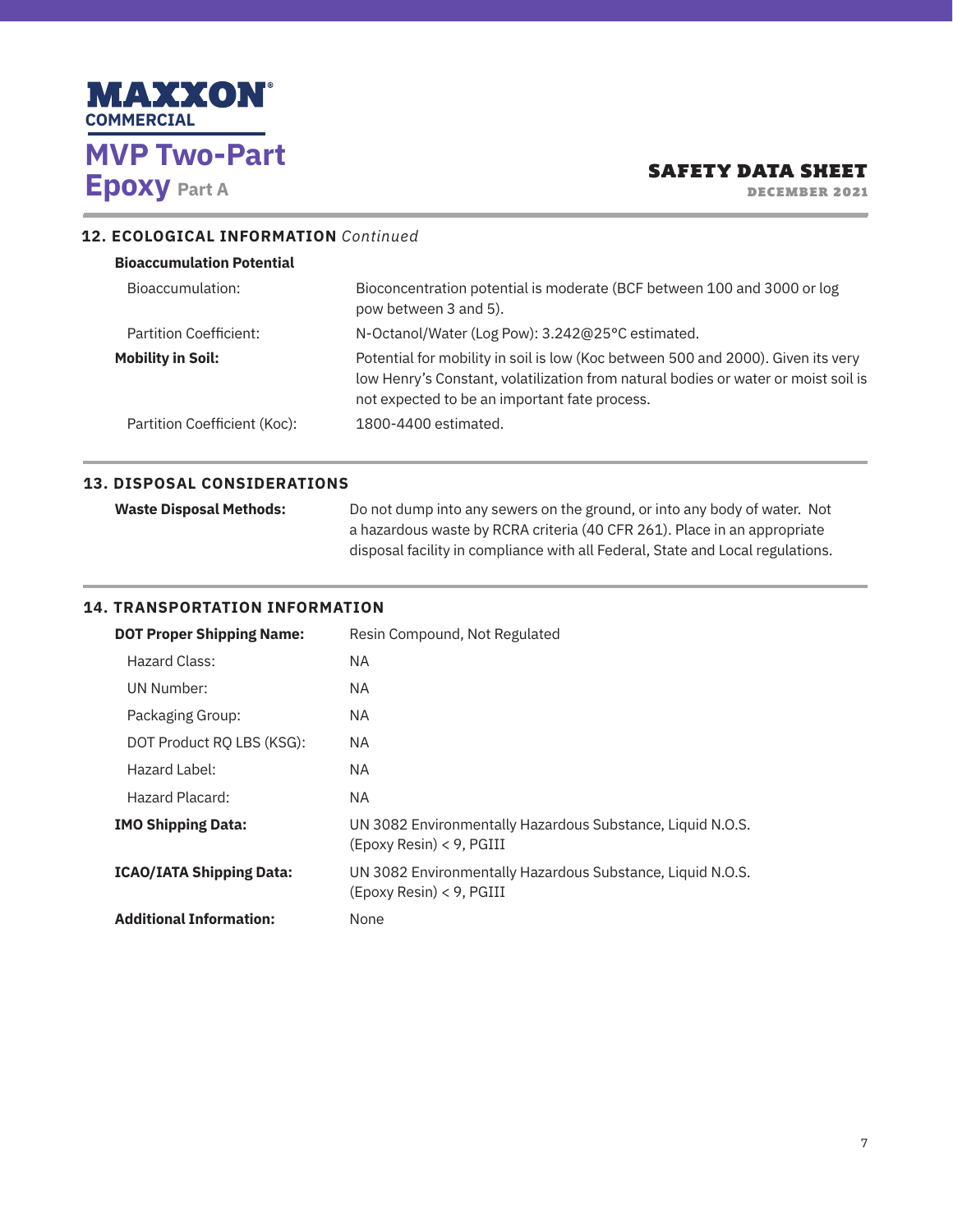

DECEMBER 2021

# **12. ECOLOGICAL INFORMATION** *Continued*

| <b>Bioaccumulation Potential</b> |                                                                                                                                                                                                                         |  |
|----------------------------------|-------------------------------------------------------------------------------------------------------------------------------------------------------------------------------------------------------------------------|--|
| Bioaccumulation:                 | Bioconcentration potential is moderate (BCF between 100 and 3000 or log<br>pow between 3 and 5).                                                                                                                        |  |
| Partition Coefficient:           | N-Octanol/Water (Log Pow): 3.242@25°C estimated.                                                                                                                                                                        |  |
| <b>Mobility in Soil:</b>         | Potential for mobility in soil is low (Koc between 500 and 2000). Given its very<br>low Henry's Constant, volatilization from natural bodies or water or moist soil is<br>not expected to be an important fate process. |  |
| Partition Coefficient (Koc):     | 1800-4400 estimated.                                                                                                                                                                                                    |  |

### **13. DISPOSAL CONSIDERATIONS**

| <b>Waste Disposal Methods:</b> | Do not dump into any sewers on the ground, or into any body of water. Not      |
|--------------------------------|--------------------------------------------------------------------------------|
|                                | a hazardous waste by RCRA criteria (40 CFR 261). Place in an appropriate       |
|                                | disposal facility in compliance with all Federal, State and Local regulations. |

## **14. TRANSPORTATION INFORMATION**

| <b>DOT Proper Shipping Name:</b> | Resin Compound, Not Regulated                                                          |  |
|----------------------------------|----------------------------------------------------------------------------------------|--|
| Hazard Class:                    | NA.                                                                                    |  |
| UN Number:                       | NA.                                                                                    |  |
| Packaging Group:                 | NA.                                                                                    |  |
| DOT Product RQ LBS (KSG):        | NA.                                                                                    |  |
| Hazard Label:                    | NA.                                                                                    |  |
| Hazard Placard:                  | NA.                                                                                    |  |
| <b>IMO Shipping Data:</b>        | UN 3082 Environmentally Hazardous Substance, Liquid N.O.S.<br>(Epoxy Resin) < 9, PGIII |  |
| <b>ICAO/IATA Shipping Data:</b>  | UN 3082 Environmentally Hazardous Substance, Liquid N.O.S.<br>(Epoxy Resin) < 9, PGIII |  |
| <b>Additional Information:</b>   | None                                                                                   |  |